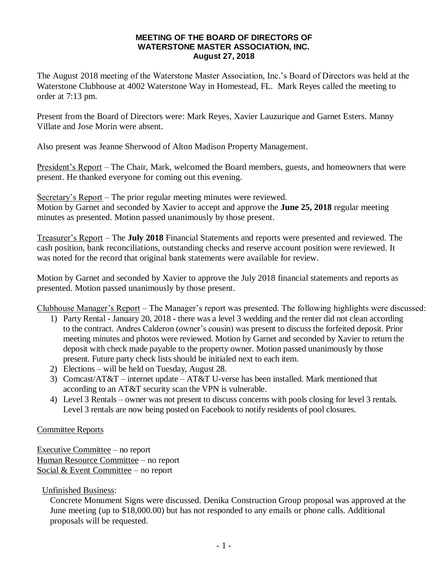## **MEETING OF THE BOARD OF DIRECTORS OF WATERSTONE MASTER ASSOCIATION, INC. August 27, 2018**

The August 2018 meeting of the Waterstone Master Association, Inc.'s Board of Directors was held at the Waterstone Clubhouse at 4002 Waterstone Way in Homestead, FL. Mark Reyes called the meeting to order at 7:13 pm.

Present from the Board of Directors were: Mark Reyes, Xavier Lauzurique and Garnet Esters. Manny Villate and Jose Morin were absent.

Also present was Jeanne Sherwood of Alton Madison Property Management.

President's Report – The Chair, Mark, welcomed the Board members, guests, and homeowners that were present. He thanked everyone for coming out this evening.

Secretary's Report – The prior regular meeting minutes were reviewed. Motion by Garnet and seconded by Xavier to accept and approve the **June 25, 2018** regular meeting minutes as presented. Motion passed unanimously by those present.

Treasurer's Report – The **July 2018** Financial Statements and reports were presented and reviewed. The cash position, bank reconciliations, outstanding checks and reserve account position were reviewed. It was noted for the record that original bank statements were available for review.

Motion by Garnet and seconded by Xavier to approve the July 2018 financial statements and reports as presented. Motion passed unanimously by those present.

Clubhouse Manager's Report – The Manager's report was presented. The following highlights were discussed:

- 1) Party Rental January 20, 2018 there was a level 3 wedding and the renter did not clean according to the contract. Andres Calderon (owner's cousin) was present to discuss the forfeited deposit. Prior meeting minutes and photos were reviewed. Motion by Garnet and seconded by Xavier to return the deposit with check made payable to the property owner. Motion passed unanimously by those present. Future party check lists should be initialed next to each item.
- 2) Elections will be held on Tuesday, August 28.
- 3) Comcast/AT&T internet update AT&T U-verse has been installed. Mark mentioned that according to an AT&T security scan the VPN is vulnerable.
- 4) Level 3 Rentals owner was not present to discuss concerns with pools closing for level 3 rentals. Level 3 rentals are now being posted on Facebook to notify residents of pool closures.

## Committee Reports

Executive Committee – no report Human Resource Committee – no report Social & Event Committee – no report

Unfinished Business:

Concrete Monument Signs were discussed. Denika Construction Group proposal was approved at the June meeting (up to \$18,000.00) but has not responded to any emails or phone calls. Additional proposals will be requested.